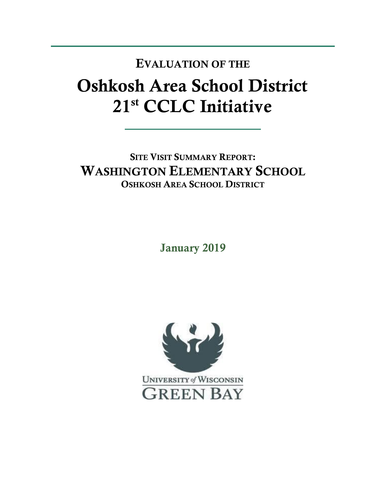## Oshkosh Area School District 21st CCLC Initiative EVALUATION OF THE

SITE VISIT SUMMARY REPORT: WASHINGTON ELEMENTARY SCHOOL OSHKOSH AREA SCHOOL DISTRICT

January 2019

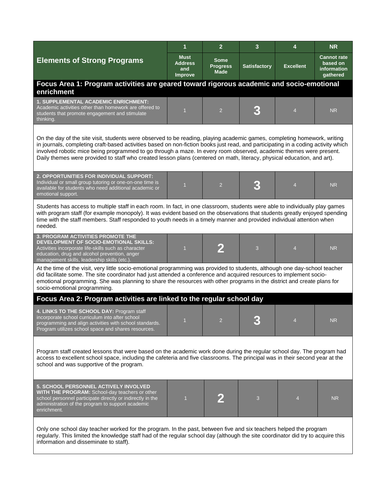|                                                                                                                                                                                                                                                                                                                                                                                                                                                                                                                | 1                                               | $\overline{2}$                         | 3                   | 4                        | <b>NR</b>                                                        |  |  |  |
|----------------------------------------------------------------------------------------------------------------------------------------------------------------------------------------------------------------------------------------------------------------------------------------------------------------------------------------------------------------------------------------------------------------------------------------------------------------------------------------------------------------|-------------------------------------------------|----------------------------------------|---------------------|--------------------------|------------------------------------------------------------------|--|--|--|
| <b>Elements of Strong Programs</b>                                                                                                                                                                                                                                                                                                                                                                                                                                                                             | <b>Must</b><br><b>Address</b><br>and<br>Improve | Some<br><b>Progress</b><br><b>Made</b> | <b>Satisfactory</b> | <b>Excellent</b>         | <b>Cannot rate</b><br>based on<br><b>information</b><br>gathered |  |  |  |
| Focus Area 1: Program activities are geared toward rigorous academic and socio-emotional<br>enrichment                                                                                                                                                                                                                                                                                                                                                                                                         |                                                 |                                        |                     |                          |                                                                  |  |  |  |
| <b>1. SUPPLEMENTAL ACADEMIC ENRICHMENT:</b><br>Academic activities other than homework are offered to<br>students that promote engagement and stimulate<br>thinking.                                                                                                                                                                                                                                                                                                                                           |                                                 | $\overline{2}$                         |                     | $\overline{4}$           | <b>NR</b>                                                        |  |  |  |
| On the day of the site visit, students were observed to be reading, playing academic games, completing homework, writing<br>in journals, completing craft-based activities based on non-fiction books just read, and participating in a coding activity which<br>involved robotic mice being programmed to go through a maze. In every room observed, academic themes were present.<br>Daily themes were provided to staff who created lesson plans (centered on math, literacy, physical education, and art). |                                                 |                                        |                     |                          |                                                                  |  |  |  |
| 2. OPPORTUNITIES FOR INDIVIDUAL SUPPORT:<br>Individual or small group tutoring or one-on-one time is<br>available for students who need additional academic or<br>emotional support.                                                                                                                                                                                                                                                                                                                           | $\overline{1}$                                  | $\overline{2}$                         |                     | $\overline{\mathcal{A}}$ | <b>NR</b>                                                        |  |  |  |
| Students has access to multiple staff in each room. In fact, in one classroom, students were able to individually play games<br>with program staff (for example monopoly). It was evident based on the observations that students greatly enjoyed spending<br>time with the staff members. Staff responded to youth needs in a timely manner and provided individual attention when<br>needed.                                                                                                                 |                                                 |                                        |                     |                          |                                                                  |  |  |  |
| <b>3. PROGRAM ACTIVITIES PROMOTE THE</b><br>DEVELOPMENT OF SOCIO-EMOTIONAL SKILLS:<br>Activities incorporate life-skills such as character<br>education, drug and alcohol prevention, anger<br>management skills, leadership skills (etc.)                                                                                                                                                                                                                                                                     | $\overline{1}$                                  |                                        | 3                   | $\overline{4}$           | <b>NR</b>                                                        |  |  |  |
| At the time of the visit, very little socio-emotional programming was provided to students, although one day-school teacher<br>did facilitate some. The site coordinator had just attended a conference and acquired resources to implement socio-<br>emotional programming. She was planning to share the resources with other programs in the district and create plans for<br>socio-emotional programming.                                                                                                  |                                                 |                                        |                     |                          |                                                                  |  |  |  |
| Focus Area 2: Program activities are linked to the regular school day                                                                                                                                                                                                                                                                                                                                                                                                                                          |                                                 |                                        |                     |                          |                                                                  |  |  |  |
| 4. LINKS TO THE SCHOOL DAY: Program staff<br>incorporate school curriculum into after school<br>programming and align activities with school standards.<br>Program utilizes school space and shares resources.                                                                                                                                                                                                                                                                                                 | $\overline{1}$                                  | $\mathcal{P}$                          |                     |                          | NR.                                                              |  |  |  |
| Program staff created lessons that were based on the academic work done during the regular school day. The program had<br>access to excellent school space, including the cafeteria and five classrooms. The principal was in their second year at the<br>school and was supportive of the program.                                                                                                                                                                                                            |                                                 |                                        |                     |                          |                                                                  |  |  |  |
| 5. SCHOOL PERSONNEL ACTIVELY INVOLVED<br>WITH THE PROGRAM: School-day teachers or other<br>school personnel participate directly or indirectly in the<br>administration of the program to support academic<br>enrichment.                                                                                                                                                                                                                                                                                      | $\overline{1}$                                  |                                        | 3                   | 4                        | <b>NR</b>                                                        |  |  |  |
| Only one school day teacher worked for the program. In the past, between five and six teachers helped the program<br>regularly. This limited the knowledge staff had of the regular school day (although the site coordinator did try to acquire this<br>information and disseminate to staff).                                                                                                                                                                                                                |                                                 |                                        |                     |                          |                                                                  |  |  |  |